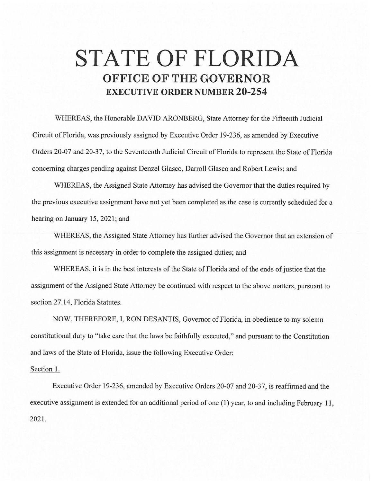## **STATE OF FLORIDA OFFICE OF THE GOVERNOR EXECUTIVE ORDER NUMBER 20-254**

WHEREAS, the Honorable DAVID ARONBERG, State Attorney for the Fifteenth Judicial Circuit of Florida, was previously assigned by Executive Order 19-236, as amended by Executive Orders 20-07 and 20-37, to the Seventeenth Judicial Circuit of Florida to represent the State of Florida concerning charges pending against Denzel Glasco, Darroll Glasco and Robert Lewis; and

WHEREAS, the Assigned State Attorney has advised the Governor that the duties required by the previous executive assignment have not yet been completed as the case is currently scheduled for a hearing on January 15, 2021; and

WHEREAS, the Assigned State Attorney has further advised the Governor that an extension of this assignment is necessary in order to complete the assigned duties; and

WHEREAS, it is in the best interests of the State of Florida and of the ends of justice that the assignment of the Assigned State Attorney be continued with respect to the above matters, pursuant to section 27.14, Florida Statutes.

NOW, THEREFORE, I, RON DESANTIS, Governor of Florida, in obedience to my solemn constitutional duty to "take care that the laws be faithfully executed," and pursuant to the Constitution and laws of the State of Florida, issue the following Executive Order:

## Section 1.

Executive Order 19-236, amended by Executive Orders 20-07 and 20-37, is reaffirmed and the executive assignment is extended for an additional period of one (1) year, to and including February 11, 2021.